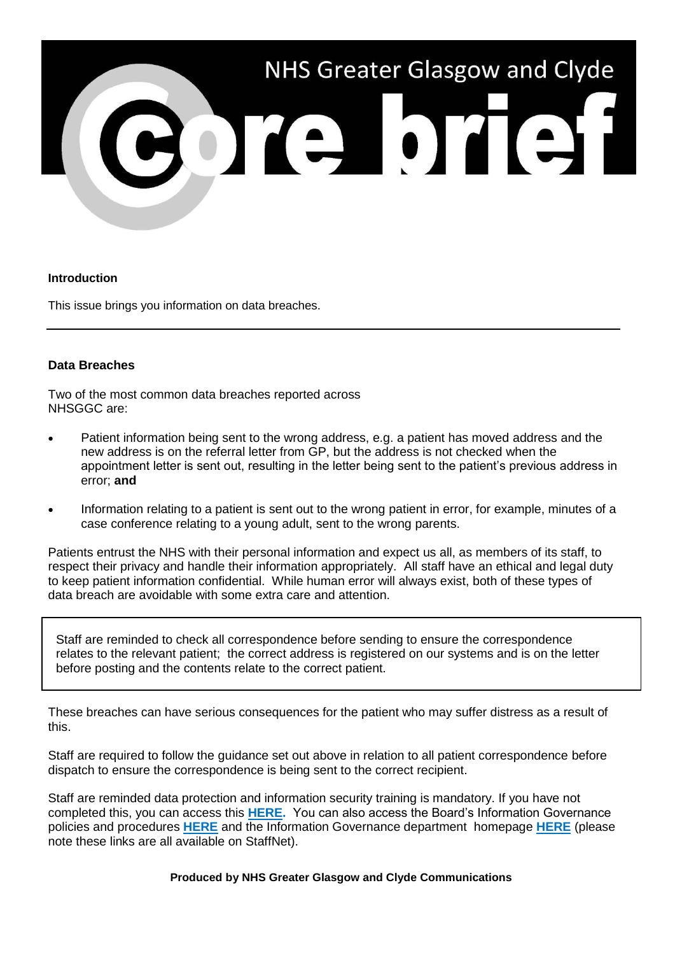

## **Introduction**

This issue brings you information on data breaches.

## **Data Breaches**

Two of the most common data breaches reported across NHSGGC are:

- Patient information being sent to the wrong address, e.g. a patient has moved address and the new address is on the referral letter from GP, but the address is not checked when the appointment letter is sent out, resulting in the letter being sent to the patient's previous address in error; **and**
- Information relating to a patient is sent out to the wrong patient in error, for example, minutes of a case conference relating to a young adult, sent to the wrong parents.

Patients entrust the NHS with their personal information and expect us all, as members of its staff, to respect their privacy and handle their information appropriately. All staff have an ethical and legal duty to keep patient information confidential. While human error will always exist, both of these types of data breach are avoidable with some extra care and attention.

Staff are reminded to check all correspondence before sending to ensure the correspondence relates to the relevant patient; the correct address is registered on our systems and is on the letter before posting and the contents relate to the correct patient.

These breaches can have serious consequences for the patient who may suffer distress as a result of this.

Staff are required to follow the guidance set out above in relation to all patient correspondence before dispatch to ensure the correspondence is being sent to the correct recipient.

Staff are reminded data protection and information security training is mandatory. If you have not completed this, you can access this **[HERE.](http://www.staffnet.ggc.scot.nhs.uk/Human%20Resources/Learning%20and%20Education/E-Learning/Pages/E-Learning%20Homepage.aspx)** You can also access the Board's Information Governance policies and procedures **[HERE](http://www.staffnet.ggc.scot.nhs.uk/Corporate%20Services/eHealth/PoliciesandProcedures/Non%20Clinical%20Policies/Pages/InformationGovernanceandInformationTechnologySecurityFramework.aspx)** and the Information Governance department homepage **[HERE](http://www.staffnet.ggc.scot.nhs.uk/Corporate%20Services/eHealth/InfoGovIndex/Pages/IGHomepage.aspx)** (please note these links are all available on StaffNet).

**Produced by NHS Greater Glasgow and Clyde Communications**